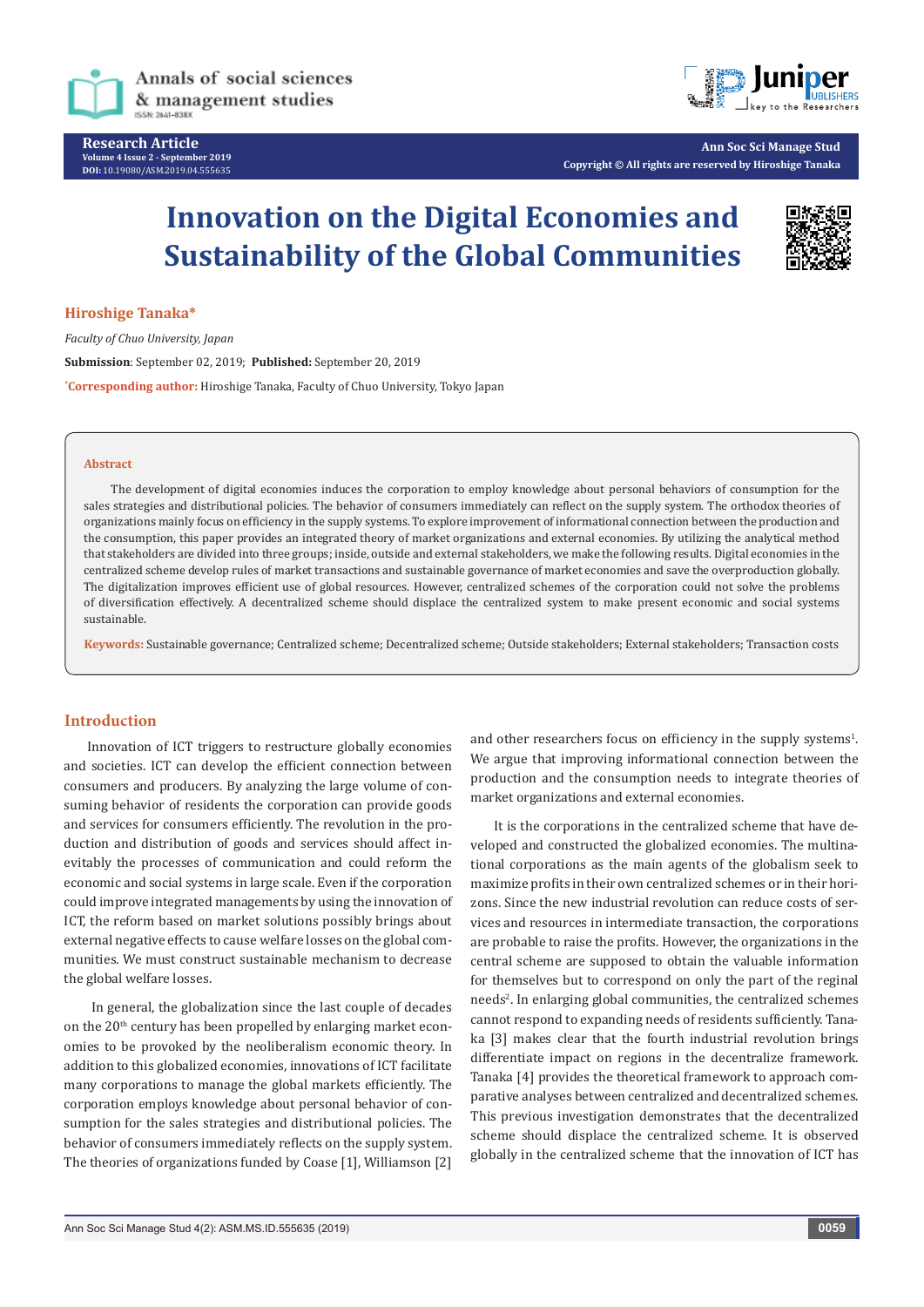

Annals of social sciences & management studies

**Research Article Volume 4 Issue 2 - September 2019 DOI:** [10.19080/ASM.2019.04.555635](http://dx.doi.org/10.19080/ASM.2019.04.555635)



**Ann Soc Sci Manage Stud Copyright © All rights are reserved by Hiroshige Tanaka**

# **Innovation on the Digital Economies and Sustainability of the Global Communities**



**Hiroshige Tanaka\***

*Faculty of Chuo University, Japan* **Submission**: September 02, 2019; **Published:** September 20, 2019 **\* Corresponding author:** Hiroshige Tanaka, Faculty of Chuo University, Tokyo Japan

### **Abstract**

The development of digital economies induces the corporation to employ knowledge about personal behaviors of consumption for the sales strategies and distributional policies. The behavior of consumers immediately can reflect on the supply system. The orthodox theories of organizations mainly focus on efficiency in the supply systems. To explore improvement of informational connection between the production and the consumption, this paper provides an integrated theory of market organizations and external economies. By utilizing the analytical method that stakeholders are divided into three groups; inside, outside and external stakeholders, we make the following results. Digital economies in the centralized scheme develop rules of market transactions and sustainable governance of market economies and save the overproduction globally. The digitalization improves efficient use of global resources. However, centralized schemes of the corporation could not solve the problems of diversification effectively. A decentralized scheme should displace the centralized system to make present economic and social systems sustainable.

**Keywords:** Sustainable governance; Centralized scheme; Decentralized scheme; Outside stakeholders; External stakeholders; Transaction costs

## **Introduction**

Innovation of ICT triggers to restructure globally economies and societies. ICT can develop the efficient connection between consumers and producers. By analyzing the large volume of consuming behavior of residents the corporation can provide goods and services for consumers efficiently. The revolution in the production and distribution of goods and services should affect inevitably the processes of communication and could reform the economic and social systems in large scale. Even if the corporation could improve integrated managements by using the innovation of ICT, the reform based on market solutions possibly brings about external negative effects to cause welfare losses on the global communities. We must construct sustainable mechanism to decrease the global welfare losses.

 In general, the globalization since the last couple of decades on the 20<sup>th</sup> century has been propelled by enlarging market economies to be provoked by the neoliberalism economic theory. In addition to this globalized economies, innovations of ICT facilitate many corporations to manage the global markets efficiently. The corporation employs knowledge about personal behavior of consumption for the sales strategies and distributional policies. The behavior of consumers immediately reflects on the supply system. The theories of organizations funded by Coase [1], Williamson [2]

and other researchers focus on efficiency in the supply systems $<sup>1</sup>$ .</sup> We argue that improving informational connection between the production and the consumption needs to integrate theories of market organizations and external economies.

It is the corporations in the centralized scheme that have developed and constructed the globalized economies. The multinational corporations as the main agents of the globalism seek to maximize profits in their own centralized schemes or in their horizons. Since the new industrial revolution can reduce costs of services and resources in intermediate transaction, the corporations are probable to raise the profits. However, the organizations in the central scheme are supposed to obtain the valuable information for themselves but to correspond on only the part of the reginal needs<sup>2</sup>. In enlarging global communities, the centralized schemes cannot respond to expanding needs of residents sufficiently. Tanaka [3] makes clear that the fourth industrial revolution brings differentiate impact on regions in the decentralize framework. Tanaka [4] provides the theoretical framework to approach comparative analyses between centralized and decentralized schemes. This previous investigation demonstrates that the decentralized scheme should displace the centralized scheme. It is observed globally in the centralized scheme that the innovation of ICT has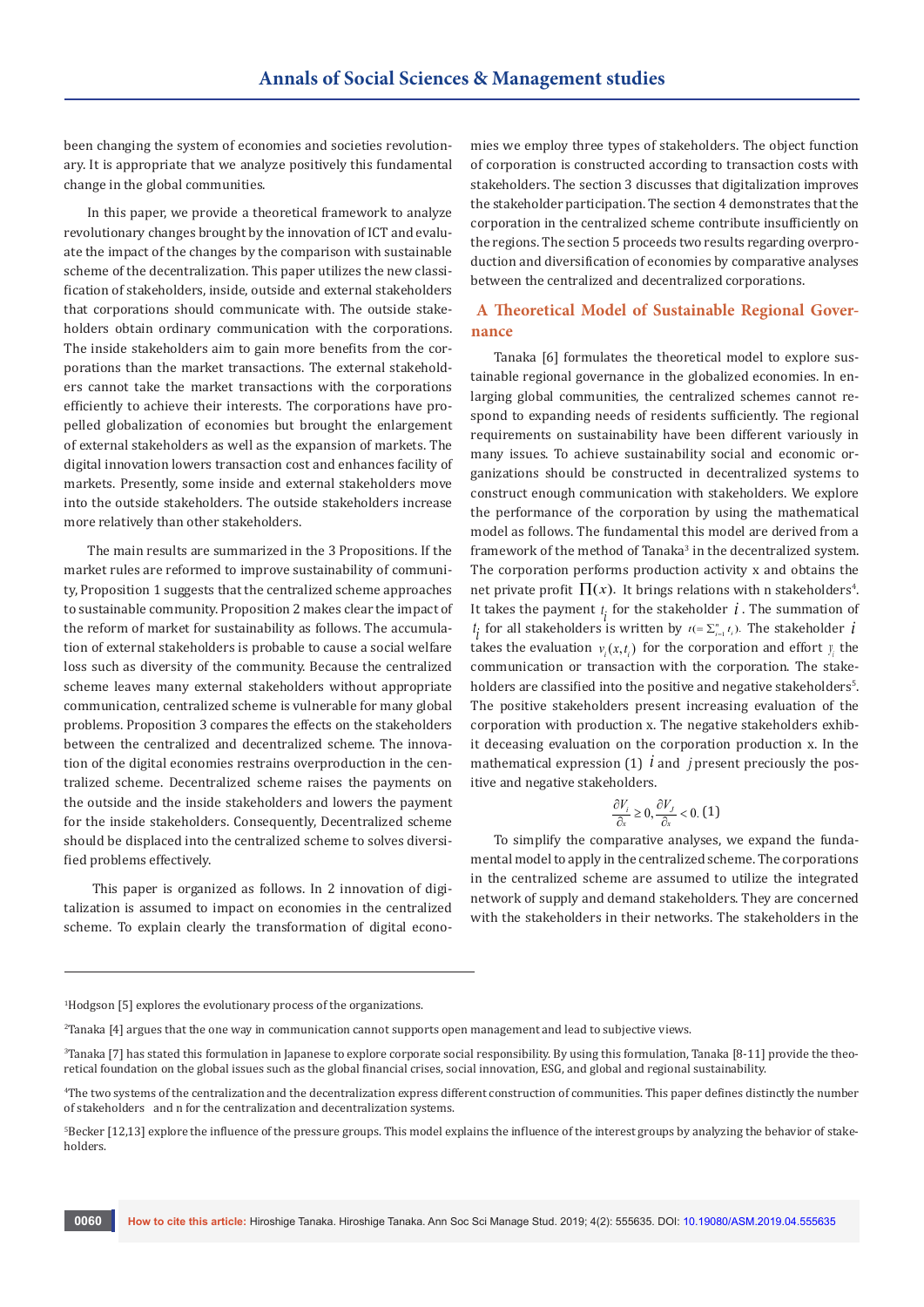been changing the system of economies and societies revolutionary. It is appropriate that we analyze positively this fundamental change in the global communities.

In this paper, we provide a theoretical framework to analyze revolutionary changes brought by the innovation of ICT and evaluate the impact of the changes by the comparison with sustainable scheme of the decentralization. This paper utilizes the new classification of stakeholders, inside, outside and external stakeholders that corporations should communicate with. The outside stakeholders obtain ordinary communication with the corporations. The inside stakeholders aim to gain more benefits from the corporations than the market transactions. The external stakeholders cannot take the market transactions with the corporations efficiently to achieve their interests. The corporations have propelled globalization of economies but brought the enlargement of external stakeholders as well as the expansion of markets. The digital innovation lowers transaction cost and enhances facility of markets. Presently, some inside and external stakeholders move into the outside stakeholders. The outside stakeholders increase more relatively than other stakeholders.

The main results are summarized in the 3 Propositions. If the market rules are reformed to improve sustainability of community, Proposition 1 suggests that the centralized scheme approaches to sustainable community. Proposition 2 makes clear the impact of the reform of market for sustainability as follows. The accumulation of external stakeholders is probable to cause a social welfare loss such as diversity of the community. Because the centralized scheme leaves many external stakeholders without appropriate communication, centralized scheme is vulnerable for many global problems. Proposition 3 compares the effects on the stakeholders between the centralized and decentralized scheme. The innovation of the digital economies restrains overproduction in the centralized scheme. Decentralized scheme raises the payments on the outside and the inside stakeholders and lowers the payment for the inside stakeholders. Consequently, Decentralized scheme should be displaced into the centralized scheme to solves diversified problems effectively.

 This paper is organized as follows. In 2 innovation of digitalization is assumed to impact on economies in the centralized scheme. To explain clearly the transformation of digital economies we employ three types of stakeholders. The object function of corporation is constructed according to transaction costs with stakeholders. The section 3 discusses that digitalization improves the stakeholder participation. The section 4 demonstrates that the corporation in the centralized scheme contribute insufficiently on the regions. The section 5 proceeds two results regarding overproduction and diversification of economies by comparative analyses between the centralized and decentralized corporations.

# **A Theoretical Model of Sustainable Regional Governance**

Tanaka [6] formulates the theoretical model to explore sustainable regional governance in the globalized economies. In enlarging global communities, the centralized schemes cannot respond to expanding needs of residents sufficiently. The regional requirements on sustainability have been different variously in many issues. To achieve sustainability social and economic organizations should be constructed in decentralized systems to construct enough communication with stakeholders. We explore the performance of the corporation by using the mathematical model as follows. The fundamental this model are derived from a framework of the method of Tanaka<sup>3</sup> in the decentralized system. The corporation performs production activity x and obtains the net private profit  $\Pi(x)$ . It brings relations with n stakeholders<sup>4</sup>. It takes the payment  $t_i$  for the stakeholder  $i$ . The summation of  $t_i$  for all stakeholders is written by  $t (= \sum_{i=1}^n t_i)$ . The stakeholder *i* takes the evaluation  $v_i(x, t_i)$  for the corporation and effort *y* the communication or transaction with the corporation. The stakeholders are classified into the positive and negative stakeholders $^{\circ}$ . The positive stakeholders present increasing evaluation of the corporation with production x. The negative stakeholders exhibit deceasing evaluation on the corporation production x. In the mathematical expression  $(1)$  *i* and *j* present preciously the positive and negative stakeholders.

$$
\frac{\partial V_i}{\partial x}\geq 0, \frac{\partial V_J}{\partial x}<0.\ (1)
$$

To simplify the comparative analyses, we expand the fundamental model to apply in the centralized scheme. The corporations in the centralized scheme are assumed to utilize the integrated network of supply and demand stakeholders. They are concerned with the stakeholders in their networks. The stakeholders in the

1 Hodgson [5] explores the evolutionary process of the organizations.

<sup>2</sup> Tanaka [4] argues that the one way in communication cannot supports open management and lead to subjective views.

 $^3$ Tanaka [7] has stated this formulation in Japanese to explore corporate social responsibility. By using this formulation, Tanaka [8-11] provide the theo- $\,$ retical foundation on the global issues such as the global financial crises, social innovation, ESG, and global and regional sustainability.

<sup>4</sup> The two systems of the centralization and the decentralization express different construction of communities. This paper defines distinctly the number of stakeholders and n for the centralization and decentralization systems.

 $^{\circ}$ Becker [12,13] explore the influence of the pressure groups. This model explains the influence of the interest groups by analyzing the behavior of stakeholders.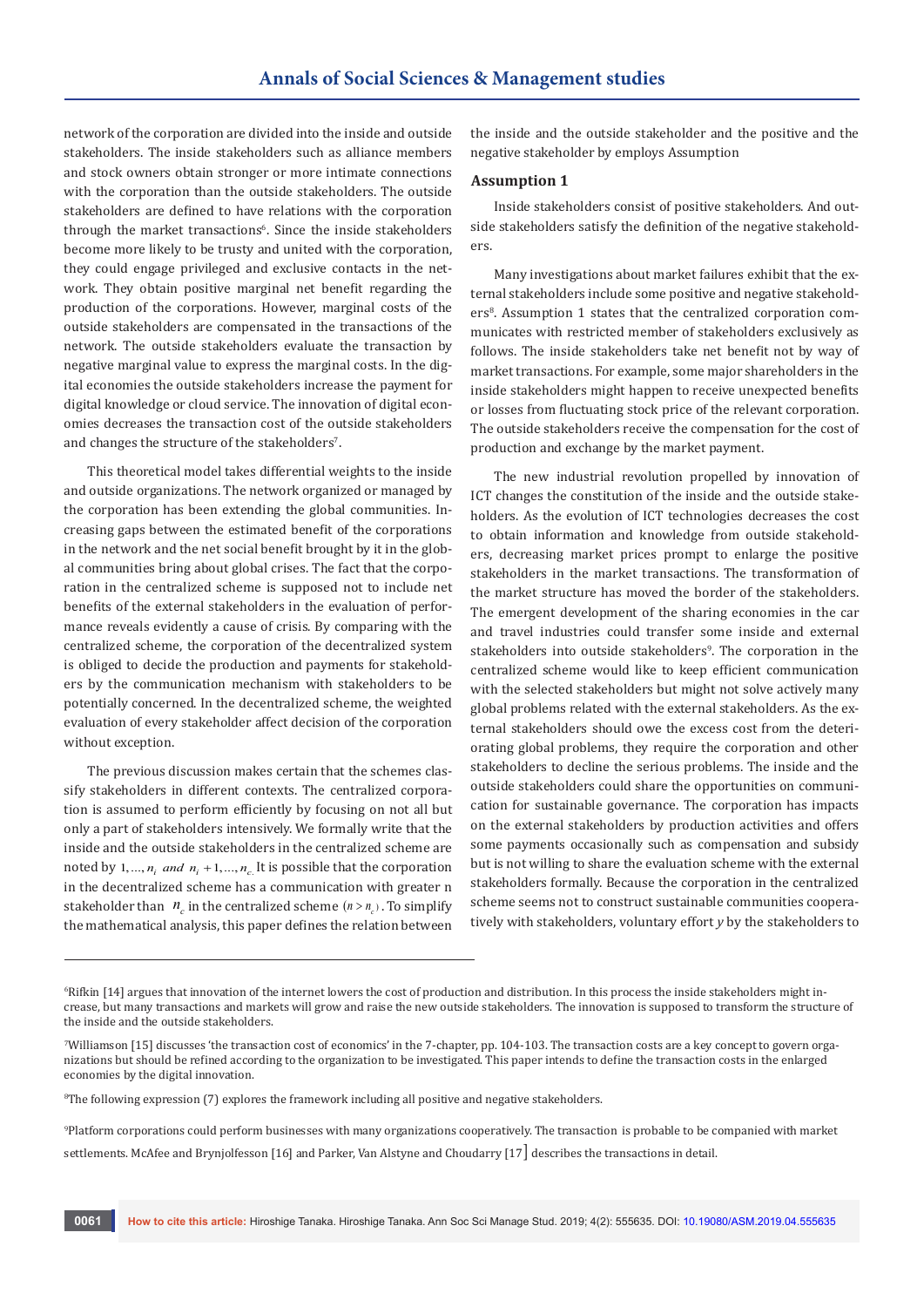network of the corporation are divided into the inside and outside stakeholders. The inside stakeholders such as alliance members and stock owners obtain stronger or more intimate connections with the corporation than the outside stakeholders. The outside stakeholders are defined to have relations with the corporation through the market transactions<sup>6</sup>. Since the inside stakeholders become more likely to be trusty and united with the corporation, they could engage privileged and exclusive contacts in the network. They obtain positive marginal net benefit regarding the production of the corporations. However, marginal costs of the outside stakeholders are compensated in the transactions of the network. The outside stakeholders evaluate the transaction by negative marginal value to express the marginal costs. In the digital economies the outside stakeholders increase the payment for digital knowledge or cloud service. The innovation of digital economies decreases the transaction cost of the outside stakeholders and changes the structure of the stakeholders<sup>7</sup>.

This theoretical model takes differential weights to the inside and outside organizations. The network organized or managed by the corporation has been extending the global communities. Increasing gaps between the estimated benefit of the corporations in the network and the net social benefit brought by it in the global communities bring about global crises. The fact that the corporation in the centralized scheme is supposed not to include net benefits of the external stakeholders in the evaluation of performance reveals evidently a cause of crisis. By comparing with the centralized scheme, the corporation of the decentralized system is obliged to decide the production and payments for stakeholders by the communication mechanism with stakeholders to be potentially concerned. In the decentralized scheme, the weighted evaluation of every stakeholder affect decision of the corporation without exception.

The previous discussion makes certain that the schemes classify stakeholders in different contexts. The centralized corporation is assumed to perform efficiently by focusing on not all but only a part of stakeholders intensively. We formally write that the inside and the outside stakeholders in the centralized scheme are noted by  $1, ..., n_i$  *and*  $n_i + 1, ..., n_c$  It is possible that the corporation in the decentralized scheme has a communication with greater n stakeholder than  $n_c$  in the centralized scheme  $(n > n_c)$ . To simplify the mathematical analysis, this paper defines the relation between

the inside and the outside stakeholder and the positive and the negative stakeholder by employs Assumption

#### **Assumption 1**

Inside stakeholders consist of positive stakeholders. And outside stakeholders satisfy the definition of the negative stakeholders.

Many investigations about market failures exhibit that the external stakeholders include some positive and negative stakeholders<sup>8</sup>. Assumption 1 states that the centralized corporation communicates with restricted member of stakeholders exclusively as follows. The inside stakeholders take net benefit not by way of market transactions. For example, some major shareholders in the inside stakeholders might happen to receive unexpected benefits or losses from fluctuating stock price of the relevant corporation. The outside stakeholders receive the compensation for the cost of production and exchange by the market payment.

The new industrial revolution propelled by innovation of ICT changes the constitution of the inside and the outside stakeholders. As the evolution of ICT technologies decreases the cost to obtain information and knowledge from outside stakeholders, decreasing market prices prompt to enlarge the positive stakeholders in the market transactions. The transformation of the market structure has moved the border of the stakeholders. The emergent development of the sharing economies in the car and travel industries could transfer some inside and external stakeholders into outside stakeholders<sup>9</sup>. The corporation in the centralized scheme would like to keep efficient communication with the selected stakeholders but might not solve actively many global problems related with the external stakeholders. As the external stakeholders should owe the excess cost from the deteriorating global problems, they require the corporation and other stakeholders to decline the serious problems. The inside and the outside stakeholders could share the opportunities on communication for sustainable governance. The corporation has impacts on the external stakeholders by production activities and offers some payments occasionally such as compensation and subsidy but is not willing to share the evaluation scheme with the external stakeholders formally. Because the corporation in the centralized scheme seems not to construct sustainable communities cooperatively with stakeholders, voluntary effort *y* by the stakeholders to

 $^{\circ}$ Rifkin [14] argues that innovation of the internet lowers the cost of production and distribution. In this process the inside stakeholders might increase, but many transactions and markets will grow and raise the new outside stakeholders. The innovation is supposed to transform the structure of the inside and the outside stakeholders.

<sup>7</sup> Williamson [15] discusses 'the transaction cost of economics' in the 7-chapter, pp. 104-103. The transaction costs are a key concept to govern organizations but should be refined according to the organization to be investigated. This paper intends to define the transaction costs in the enlarged economies by the digital innovation.

 $\mathrm{^8The}$  following expression (7) explores the framework including all positive and negative stakeholders.

<sup>9</sup> Platform corporations could perform businesses with many organizations cooperatively. The transaction is probable to be companied with market settlements. McAfee and Brynjolfesson [16] and Parker, Van Alstyne and Choudarry [17] describes the transactions in detail.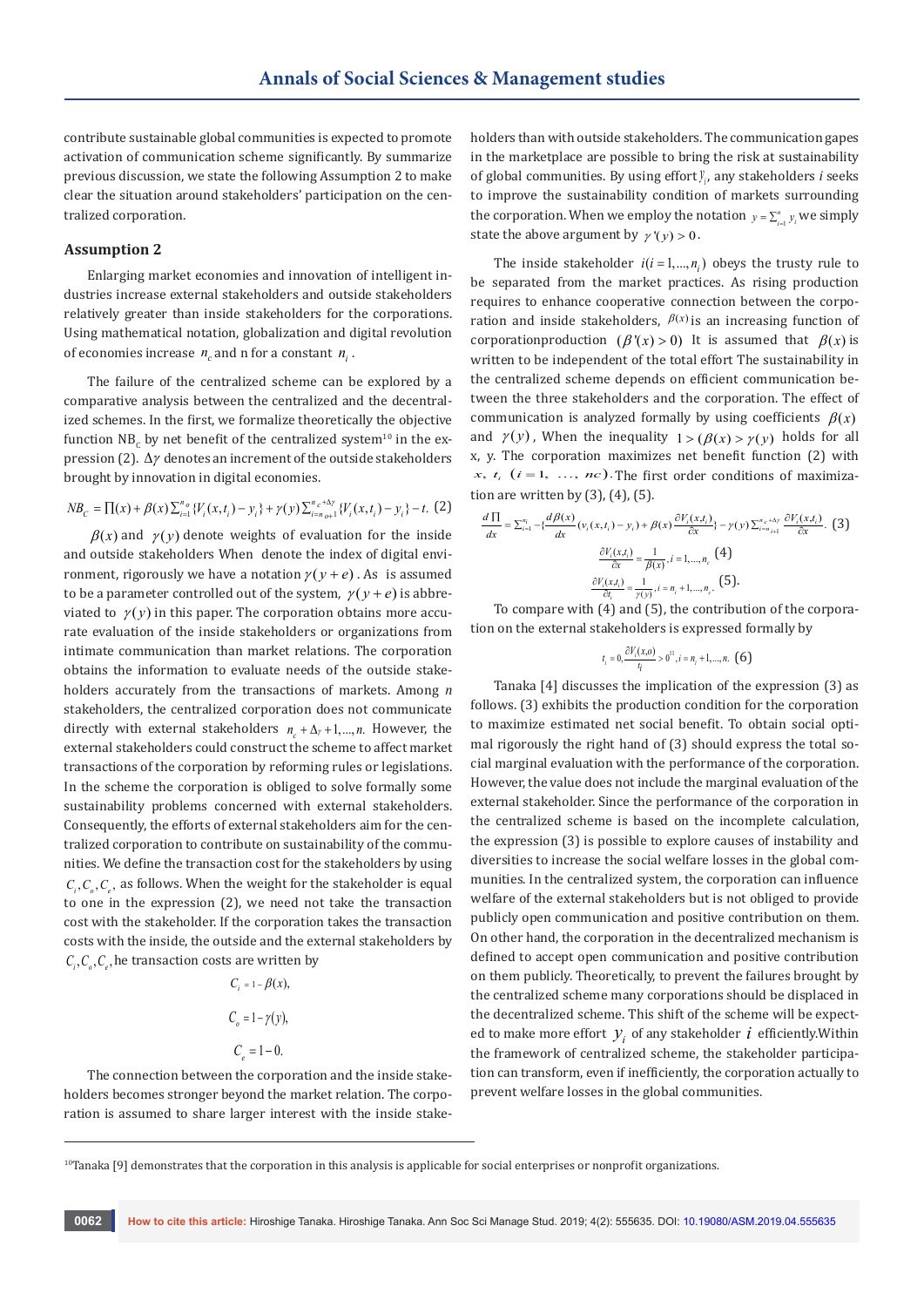contribute sustainable global communities is expected to promote activation of communication scheme significantly. By summarize previous discussion, we state the following Assumption 2 to make clear the situation around stakeholders' participation on the centralized corporation.

## **Assumption 2**

Enlarging market economies and innovation of intelligent industries increase external stakeholders and outside stakeholders relatively greater than inside stakeholders for the corporations. Using mathematical notation, globalization and digital revolution of economies increase  $n_c$  and n for a constant  $n_c$ .

The failure of the centralized scheme can be explored by a comparative analysis between the centralized and the decentralized schemes. In the first, we formalize theoretically the objective function  $\text{NB}_\text{c}$  by net benefit of the centralized system $^\text{10}$  in the expression (2).  $Δγ$  denotes an increment of the outside stakeholders brought by innovation in digital economies.

$$
NB_C = \prod(x) + \beta(x) \sum_{i=1}^{n_o} \{V_i(x, t_i) - y_i\} + \gamma(y) \sum_{i=n_o+1}^{n_c + \Delta \gamma} \{V_i(x, t_i) - y_i\} - t. \tag{2}
$$

 $\beta(x)$  and  $\gamma(y)$  denote weights of evaluation for the inside and outside stakeholders When denote the index of digital environment, rigorously we have a notation  $\gamma(y + e)$ . As is assumed to be a parameter controlled out of the system,  $\gamma(y + e)$  is abbreviated to  $\gamma(y)$  in this paper. The corporation obtains more accurate evaluation of the inside stakeholders or organizations from intimate communication than market relations. The corporation obtains the information to evaluate needs of the outside stakeholders accurately from the transactions of markets. Among *n* stakeholders, the centralized corporation does not communicate directly with external stakeholders  $n_{n} + \Delta_{\gamma} + 1, ..., n$ . However, the external stakeholders could construct the scheme to affect market transactions of the corporation by reforming rules or legislations. In the scheme the corporation is obliged to solve formally some sustainability problems concerned with external stakeholders. Consequently, the efforts of external stakeholders aim for the centralized corporation to contribute on sustainability of the communities. We define the transaction cost for the stakeholders by using  $C_i, C_i, C_j$ , as follows. When the weight for the stakeholder is equal to one in the expression (2), we need not take the transaction cost with the stakeholder. If the corporation takes the transaction costs with the inside, the outside and the external stakeholders by  $C_i, C_i, C_j$ , he transaction costs are written by

$$
C_i = 1 - \beta(x),
$$
  
\n
$$
C_o = 1 - \gamma(y),
$$
  
\n
$$
C_e = 1 - 0.
$$

The connection between the corporation and the inside stakeholders becomes stronger beyond the market relation. The corporation is assumed to share larger interest with the inside stakeholders than with outside stakeholders. The communication gapes in the marketplace are possible to bring the risk at sustainability of global communities. By using effort *<sup>i</sup> <sup>y</sup>* , any stakeholders *i* seeks to improve the sustainability condition of markets surrounding the corporation. When we employ the notation  $y = \sum_{i=1}^{n} y_i$  we simply state the above argument by  $\gamma'(y) > 0$ .

The inside stakeholder  $i(i = 1, ..., n<sub>i</sub>)$  obeys the trusty rule to be separated from the market practices. As rising production requires to enhance cooperative connection between the corporation and inside stakeholders,  $\beta(x)$  is an increasing function of corporationproduction ( $\beta'(x) > 0$ ) It is assumed that  $\beta(x)$  is written to be independent of the total effort The sustainability in the centralized scheme depends on efficient communication between the three stakeholders and the corporation. The effect of communication is analyzed formally by using coefficients  $\beta(x)$ and  $\gamma(y)$ , When the inequality  $1 > (\beta(x) > \gamma(y))$  holds for all x, y. The corporation maximizes net benefit function (2) with *x*,  $t_i$  ( $i = 1, \ldots, nc$ ). The first order conditions of maximization are written by  $(3)$ ,  $(4)$ ,  $(5)$ .

$$
\frac{d \prod}{dx} = \sum_{i=1}^{n_i} -\{\frac{d \beta(x)}{dx} (v_i(x, t_i) - y_i) + \beta(x) \frac{\partial V_i(x, t_i)}{\partial x} \} - \gamma(y) \sum_{i=n_{i+1}}^{n_c + \Delta y} \frac{\partial V_i(x, t_i)}{\partial x}. \tag{3}
$$
\n
$$
\frac{\partial V_i(x, t_i)}{\partial x} = \frac{1}{\beta(x)}, i = 1, ..., n_c \tag{4}
$$
\n
$$
\frac{\partial V_i(x, t_i)}{\partial t_i} = \frac{1}{\gamma(y)}, i = n_i + 1, ..., n_c. \tag{5}
$$

To compare with (4) and (5), the contribution of the corporation on the external stakeholders is expressed formally by

$$
t_i = 0, \frac{\partial V_i(x, o)}{t_i} > 0^{11}, i = n_i + 1, ..., n. \quad (6)
$$

Tanaka [4] discusses the implication of the expression (3) as follows. (3) exhibits the production condition for the corporation to maximize estimated net social benefit. To obtain social optimal rigorously the right hand of (3) should express the total social marginal evaluation with the performance of the corporation. However, the value does not include the marginal evaluation of the external stakeholder. Since the performance of the corporation in the centralized scheme is based on the incomplete calculation, the expression (3) is possible to explore causes of instability and diversities to increase the social welfare losses in the global communities. In the centralized system, the corporation can influence welfare of the external stakeholders but is not obliged to provide publicly open communication and positive contribution on them. On other hand, the corporation in the decentralized mechanism is defined to accept open communication and positive contribution on them publicly. Theoretically, to prevent the failures brought by the centralized scheme many corporations should be displaced in the decentralized scheme. This shift of the scheme will be expected to make more effort  $y_i$  of any stakeholder  $i$  efficiently. Within the framework of centralized scheme, the stakeholder participation can transform, even if inefficiently, the corporation actually to prevent welfare losses in the global communities.

 $10$ Tanaka [9] demonstrates that the corporation in this analysis is applicable for social enterprises or nonprofit organizations.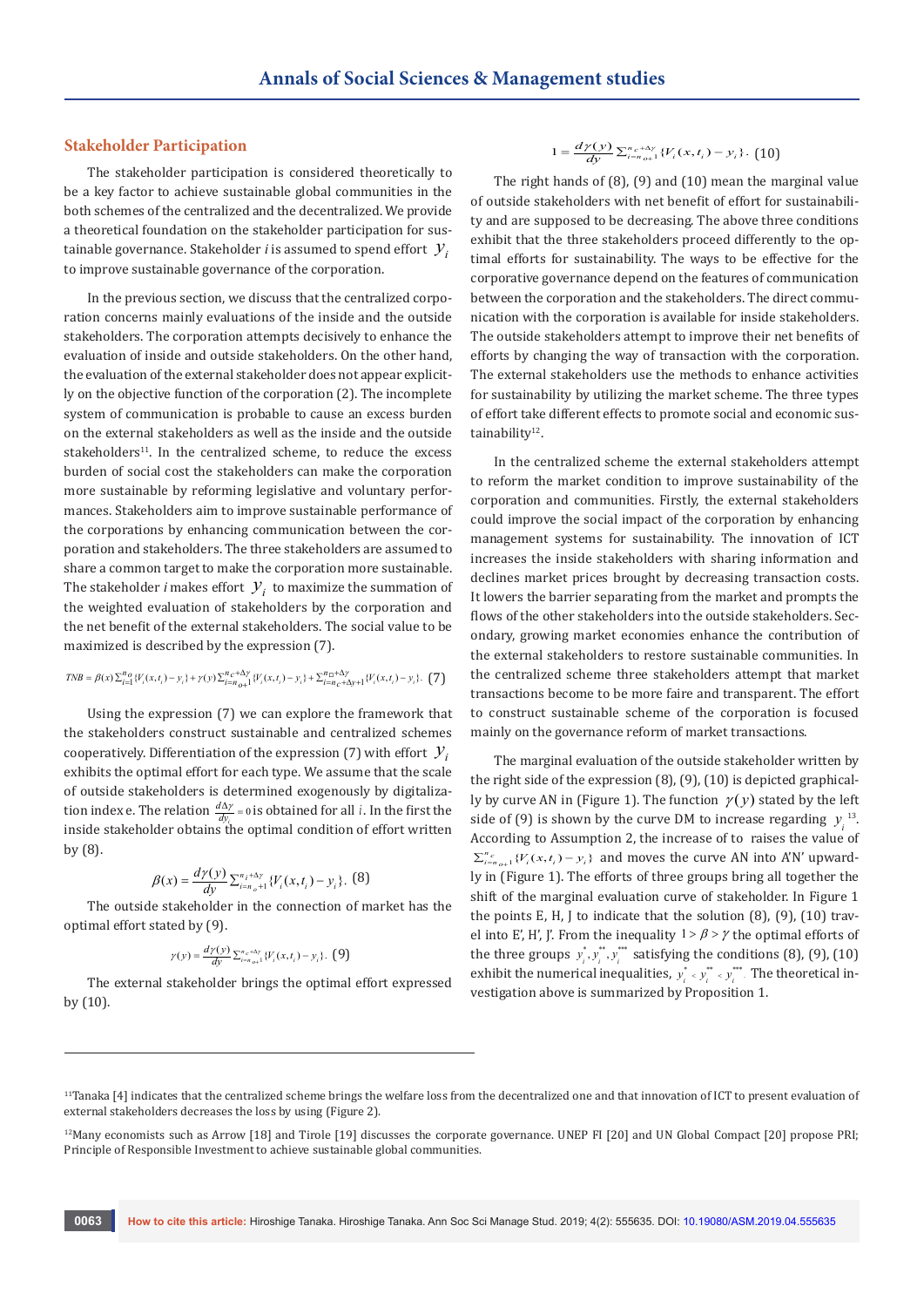## **Stakeholder Participation**

The stakeholder participation is considered theoretically to be a key factor to achieve sustainable global communities in the both schemes of the centralized and the decentralized. We provide a theoretical foundation on the stakeholder participation for sustainable governance. Stakeholder *i* is assumed to spend effort  $\mathcal{Y}_i$ to improve sustainable governance of the corporation.

In the previous section, we discuss that the centralized corporation concerns mainly evaluations of the inside and the outside stakeholders. The corporation attempts decisively to enhance the evaluation of inside and outside stakeholders. On the other hand, the evaluation of the external stakeholder does not appear explicitly on the objective function of the corporation (2). The incomplete system of communication is probable to cause an excess burden on the external stakeholders as well as the inside and the outside stakeholders<sup>11</sup>. In the centralized scheme, to reduce the excess burden of social cost the stakeholders can make the corporation more sustainable by reforming legislative and voluntary performances. Stakeholders aim to improve sustainable performance of the corporations by enhancing communication between the corporation and stakeholders. The three stakeholders are assumed to share a common target to make the corporation more sustainable. The stakeholder *i* makes effort  $\mathcal{Y}_i$  to maximize the summation of the weighted evaluation of stakeholders by the corporation and the net benefit of the external stakeholders. The social value to be maximized is described by the expression (7).

$$
TNB = \beta(x)\sum_{i=1}^{n} \{V_i(x,t_i) - y_i\} + \gamma(y)\sum_{i=n}^{n} \gamma_{0+1}^{k-1} \{V_i(x,t_i) - y_i\} + \sum_{i=n}^{n} \gamma_{0+1}^{k-1} \{V_i(x,t_i) - y_i\}.
$$
 (7)

Using the expression (7) we can explore the framework that the stakeholders construct sustainable and centralized schemes cooperatively. Differentiation of the expression (7) with effort  $\mathcal{Y}_i$ exhibits the optimal effort for each type. We assume that the scale of outside stakeholders is determined exogenously by digitalization index e. The relation  $\frac{d\Delta \gamma}{dy_i} = 0$  $\frac{d\Delta\gamma}{dy_i}$  = 0 is obtained for all *i*. In the first the inside stakeholder obtains the optimal condition of effort written by (8).

$$
\beta(x) = \frac{d\gamma(y)}{dy} \sum_{i=n_o+1}^{n_i+\Delta\gamma} \{V_i(x,t_i) - y_i\}.
$$
 (8)

The outside stakeholder in the connection of market has the optimal effort stated by (9).

$$
\gamma(y) = \frac{d\gamma(y)}{dy} \sum_{i=n_{o+1}}^{n_c+\Delta\gamma} \{V_i(x,t_i) - y_i\}.
$$
 (9)

The external stakeholder brings the optimal effort expressed by (10).

$$
1 = \frac{d\gamma(y)}{dy} \sum_{i=n_{o+1}}^{n_c + \Delta \gamma} \{V_i(x, t_i) - y_i\}.
$$
 (10)

The right hands of (8), (9) and (10) mean the marginal value of outside stakeholders with net benefit of effort for sustainability and are supposed to be decreasing. The above three conditions exhibit that the three stakeholders proceed differently to the optimal efforts for sustainability. The ways to be effective for the corporative governance depend on the features of communication between the corporation and the stakeholders. The direct communication with the corporation is available for inside stakeholders. The outside stakeholders attempt to improve their net benefits of efforts by changing the way of transaction with the corporation. The external stakeholders use the methods to enhance activities for sustainability by utilizing the market scheme. The three types of effort take different effects to promote social and economic sustainability<sup>12</sup>.

In the centralized scheme the external stakeholders attempt to reform the market condition to improve sustainability of the corporation and communities. Firstly, the external stakeholders could improve the social impact of the corporation by enhancing management systems for sustainability. The innovation of ICT increases the inside stakeholders with sharing information and declines market prices brought by decreasing transaction costs. It lowers the barrier separating from the market and prompts the flows of the other stakeholders into the outside stakeholders. Secondary, growing market economies enhance the contribution of the external stakeholders to restore sustainable communities. In the centralized scheme three stakeholders attempt that market transactions become to be more faire and transparent. The effort to construct sustainable scheme of the corporation is focused mainly on the governance reform of market transactions.

The marginal evaluation of the outside stakeholder written by the right side of the expression (8), (9), (10) is depicted graphically by curve AN in (Figure 1). The function  $\gamma(y)$  stated by the left side of (9) is shown by the curve DM to increase regarding  $y_i^{13}$ . According to Assumption 2, the increase of to raises the value of  $\sum_{i=n_{o+1}}^{n_c} \{V_i(x,t_i) - y_i\}$  and moves the curve AN into A'N' upwardly in (Figure 1). The efforts of three groups bring all together the shift of the marginal evaluation curve of stakeholder. In Figure 1 the points E, H, J to indicate that the solution (8), (9), (10) travel into E', H', J'. From the inequality  $1 > \beta > \gamma$  the optimal efforts of the three groups  $y_i^*$ ,  $y_i^*$ ,  $y_i^*$  satisfying the conditions (8), (9), (10) exhibit the numerical inequalities,  $y_i^* \times y_i^{**} \times y_i^{***}$ . The theoretical investigation above is summarized by Proposition 1.

<sup>&</sup>lt;sup>11</sup>Tanaka [4] indicates that the centralized scheme brings the welfare loss from the decentralized one and that innovation of ICT to present evaluation of external stakeholders decreases the loss by using (Figure 2).

<sup>12</sup>Many economists such as Arrow [18] and Tirole [19] discusses the corporate governance. UNEP FI [20] and UN Global Compact [20] propose PRI; Principle of Responsible Investment to achieve sustainable global communities.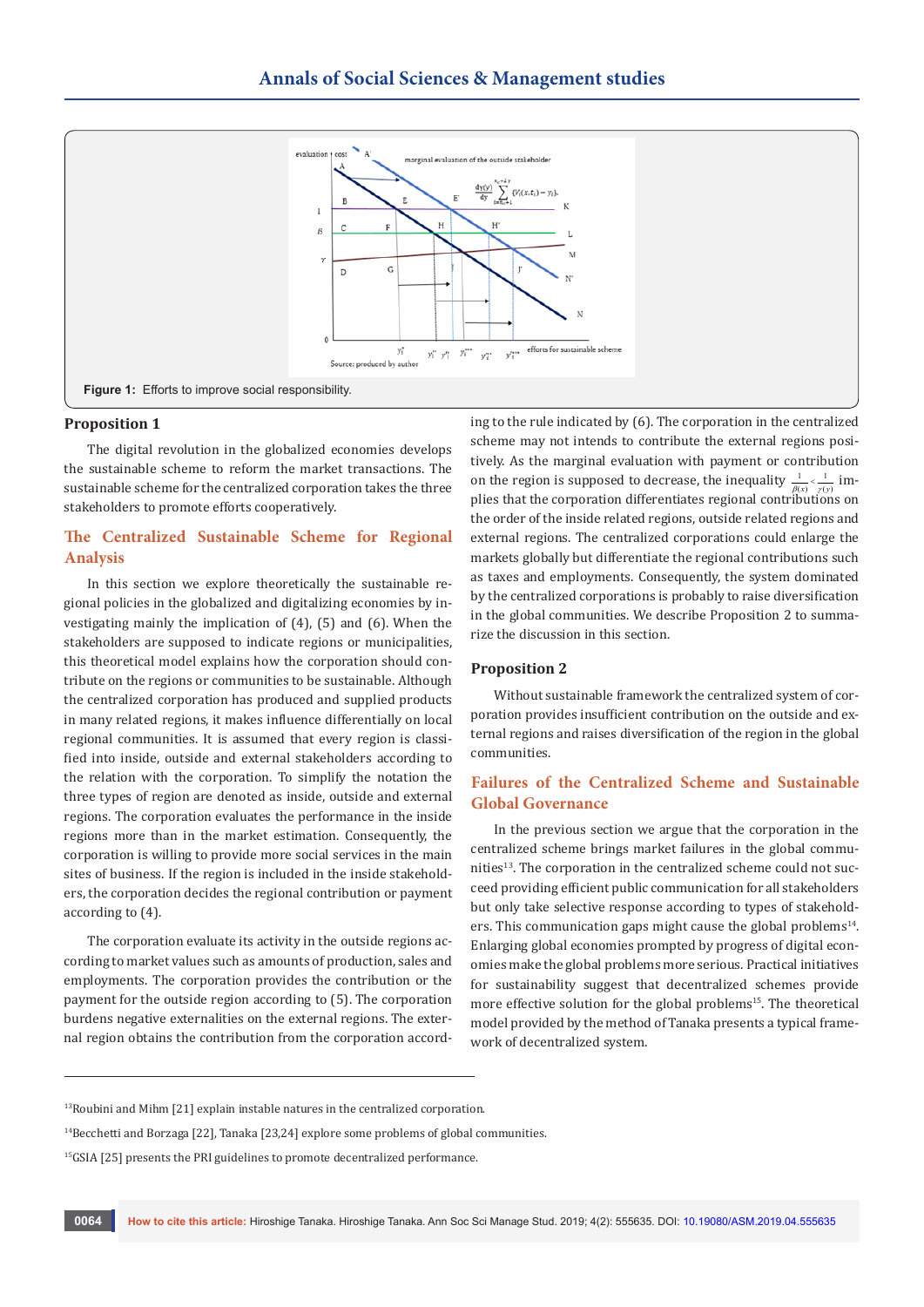

### **Proposition 1**

The digital revolution in the globalized economies develops the sustainable scheme to reform the market transactions. The sustainable scheme for the centralized corporation takes the three stakeholders to promote efforts cooperatively.

# **The Centralized Sustainable Scheme for Regional Analysis**

In this section we explore theoretically the sustainable regional policies in the globalized and digitalizing economies by investigating mainly the implication of (4), (5) and (6). When the stakeholders are supposed to indicate regions or municipalities, this theoretical model explains how the corporation should contribute on the regions or communities to be sustainable. Although the centralized corporation has produced and supplied products in many related regions, it makes influence differentially on local regional communities. It is assumed that every region is classified into inside, outside and external stakeholders according to the relation with the corporation. To simplify the notation the three types of region are denoted as inside, outside and external regions. The corporation evaluates the performance in the inside regions more than in the market estimation. Consequently, the corporation is willing to provide more social services in the main sites of business. If the region is included in the inside stakeholders, the corporation decides the regional contribution or payment according to (4).

The corporation evaluate its activity in the outside regions according to market values such as amounts of production, sales and employments. The corporation provides the contribution or the payment for the outside region according to (5). The corporation burdens negative externalities on the external regions. The external region obtains the contribution from the corporation according to the rule indicated by (6). The corporation in the centralized scheme may not intends to contribute the external regions positively. As the marginal evaluation with payment or contribution on the region is supposed to decrease, the inequality  $\frac{1}{\beta(x)} < \frac{1}{\gamma(y)}$  implies that the corporation differentiates regional contributions on the order of the inside related regions, outside related regions and external regions. The centralized corporations could enlarge the markets globally but differentiate the regional contributions such as taxes and employments. Consequently, the system dominated by the centralized corporations is probably to raise diversification in the global communities. We describe Proposition 2 to summarize the discussion in this section.

## **Proposition 2**

Without sustainable framework the centralized system of corporation provides insufficient contribution on the outside and external regions and raises diversification of the region in the global communities.

# **Failures of the Centralized Scheme and Sustainable Global Governance**

In the previous section we argue that the corporation in the centralized scheme brings market failures in the global communities<sup>13</sup>. The corporation in the centralized scheme could not succeed providing efficient public communication for all stakeholders but only take selective response according to types of stakeholders. This communication gaps might cause the global problems $14$ . Enlarging global economies prompted by progress of digital economies make the global problems more serious. Practical initiatives for sustainability suggest that decentralized schemes provide more effective solution for the global problems<sup>15</sup>. The theoretical model provided by the method of Tanaka presents a typical framework of decentralized system.

<sup>&</sup>lt;sup>13</sup>Roubini and Mihm [21] explain instable natures in the centralized corporation.

 $14$ Becchetti and Borzaga [22], Tanaka [23,24] explore some problems of global communities.

<sup>&</sup>lt;sup>15</sup>GSIA [25] presents the PRI guidelines to promote decentralized performance.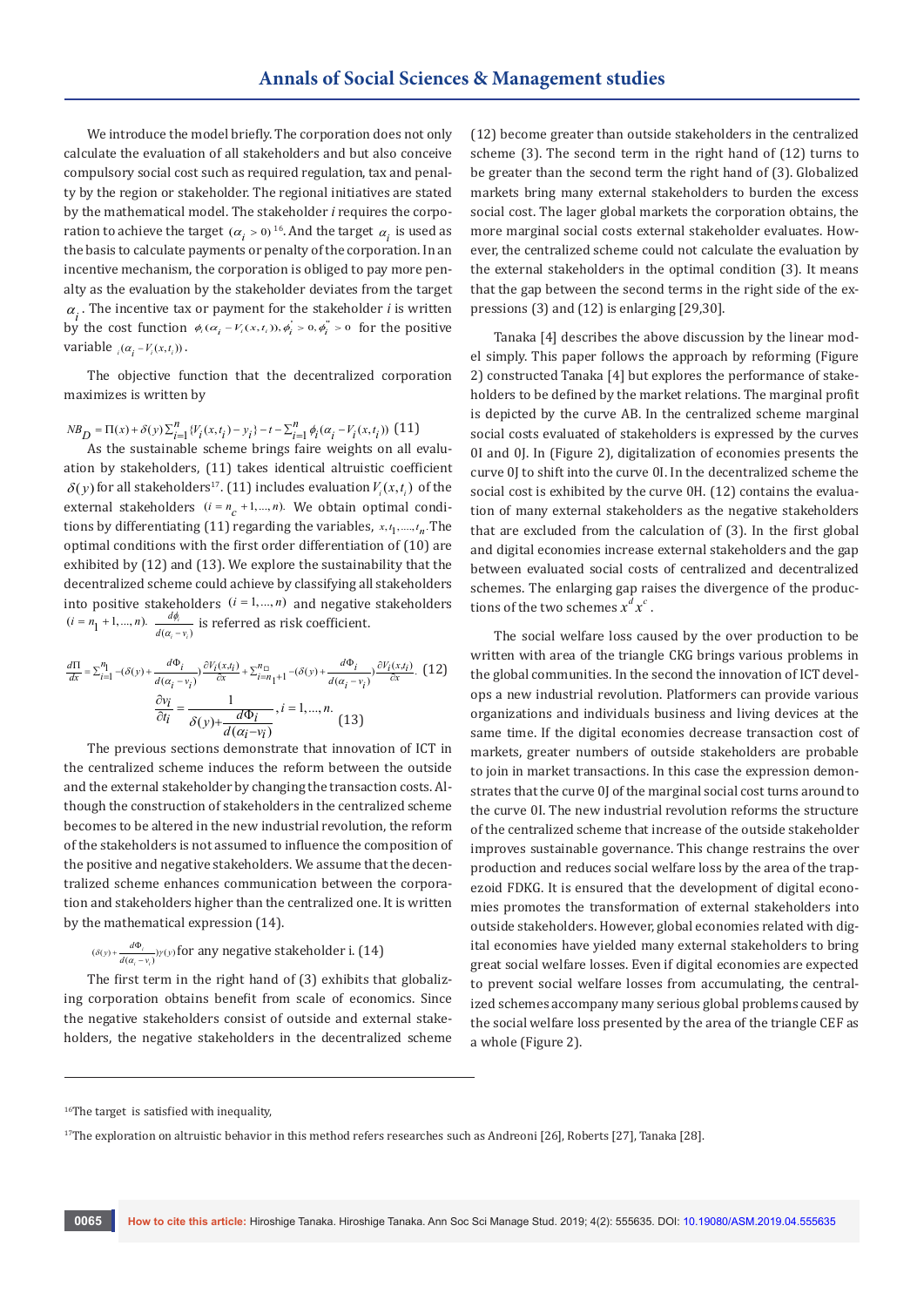We introduce the model briefly. The corporation does not only calculate the evaluation of all stakeholders and but also conceive compulsory social cost such as required regulation, tax and penalty by the region or stakeholder. The regional initiatives are stated by the mathematical model. The stakeholder *i* requires the corporation to achieve the target ( $\alpha_i > 0$ )<sup>16</sup>. And the target  $\alpha_i$  is used as the basis to calculate payments or penalty of the corporation. In an incentive mechanism, the corporation is obliged to pay more penalty as the evaluation by the stakeholder deviates from the target  $\alpha_i$ . The incentive tax or payment for the stakeholder *i* is written by the cost function  $\phi_i (\alpha_i - V_i(x, t_i))$ ,  $\phi_i > 0$ ,  $\phi_i > 0$  for the positive variable  ${}_{i}(\alpha_{i} - V_{i}(x,t_{i}))$ .

The objective function that the decentralized corporation maximizes is written by

$$
\mathit{NB}_{D} = \Pi(x) + \delta(y)\sum_{i=1}^{n}\{\mathcal{V}_{i}(x,t_{i}) - y_{i}\} - t - \sum_{i=1}^{n}\phi_{i}(\alpha_{i} - \mathcal{V}_{i}(x,t_{i}))\text{ (11)}
$$

As the sustainable scheme brings faire weights on all evaluation by stakeholders, (11) takes identical altruistic coefficient  $\delta(y)$  for all stakeholders<sup>17</sup>. (11) includes evaluation  $V_i(x,t_i)$  of the external stakeholders  $(i = n_c + 1, ..., n)$ . We obtain optimal conditions by differentiating  $(11)$  regarding the variables,  $x, t_1, \ldots, t_n$ . The optimal conditions with the first order differentiation of (10) are exhibited by (12) and (13). We explore the sustainability that the decentralized scheme could achieve by classifying all stakeholders into positive stakeholders  $(i = 1, ..., n)$  and negative stakeholders  $(i = n_1 + 1, ..., n).$   $\frac{u\varphi_i}{d(\alpha_i - v_i)}$ *i i d*  $d(\alpha_i - \nu_i)$  $rac{d\phi_i}{(\alpha_i - \nu_i)}$  is referred as risk coefficient.

$$
\frac{d\Pi}{dx} = \sum_{i=1}^{n_1} -(\delta(y) + \frac{d\Phi_i}{d(\alpha_i - v_i)}) \frac{\partial V_i(x, t_i)}{\partial x} + \sum_{i=n_1+1}^{n_1} -(\delta(y) + \frac{d\Phi_i}{d(\alpha_i - v_i)}) \frac{\partial V_i(x, t_i)}{\partial x}.\tag{12}
$$
\n
$$
\frac{\partial v_i}{\partial t_i} = \frac{1}{\delta(y) + \frac{d\Phi_i}{d(\alpha_i - v_i)}}, i = 1, \dots, n.
$$
\n
$$
(13)
$$

The previous sections demonstrate that innovation of ICT in the centralized scheme induces the reform between the outside and the external stakeholder by changing the transaction costs. Although the construction of stakeholders in the centralized scheme becomes to be altered in the new industrial revolution, the reform of the stakeholders is not assumed to influence the composition of the positive and negative stakeholders. We assume that the decentralized scheme enhances communication between the corporation and stakeholders higher than the centralized one. It is written by the mathematical expression (14).

$$
(\delta(y) + \frac{d\Phi_i}{d(\alpha_i - v_i)})\gamma(y)
$$
 for any negative stakeholder i. (14)

The first term in the right hand of (3) exhibits that globalizing corporation obtains benefit from scale of economics. Since the negative stakeholders consist of outside and external stakeholders, the negative stakeholders in the decentralized scheme (12) become greater than outside stakeholders in the centralized scheme (3). The second term in the right hand of (12) turns to be greater than the second term the right hand of (3). Globalized markets bring many external stakeholders to burden the excess social cost. The lager global markets the corporation obtains, the more marginal social costs external stakeholder evaluates. However, the centralized scheme could not calculate the evaluation by the external stakeholders in the optimal condition (3). It means that the gap between the second terms in the right side of the expressions (3) and (12) is enlarging [29,30].

Tanaka [4] describes the above discussion by the linear model simply. This paper follows the approach by reforming (Figure 2) constructed Tanaka [4] but explores the performance of stakeholders to be defined by the market relations. The marginal profit is depicted by the curve AB. In the centralized scheme marginal social costs evaluated of stakeholders is expressed by the curves 0I and 0J. In (Figure 2), digitalization of economies presents the curve 0J to shift into the curve 0I. In the decentralized scheme the social cost is exhibited by the curve 0H. (12) contains the evaluation of many external stakeholders as the negative stakeholders that are excluded from the calculation of (3). In the first global and digital economies increase external stakeholders and the gap between evaluated social costs of centralized and decentralized schemes. The enlarging gap raises the divergence of the productions of the two schemes  $x^d x^c$ .

The social welfare loss caused by the over production to be written with area of the triangle CKG brings various problems in the global communities. In the second the innovation of ICT develops a new industrial revolution. Platformers can provide various organizations and individuals business and living devices at the same time. If the digital economies decrease transaction cost of markets, greater numbers of outside stakeholders are probable to join in market transactions. In this case the expression demonstrates that the curve 0J of the marginal social cost turns around to the curve 0I. The new industrial revolution reforms the structure of the centralized scheme that increase of the outside stakeholder improves sustainable governance. This change restrains the over production and reduces social welfare loss by the area of the trapezoid FDKG. It is ensured that the development of digital economies promotes the transformation of external stakeholders into outside stakeholders. However, global economies related with digital economies have yielded many external stakeholders to bring great social welfare losses. Even if digital economies are expected to prevent social welfare losses from accumulating, the centralized schemes accompany many serious global problems caused by the social welfare loss presented by the area of the triangle CEF as a whole (Figure 2).

<sup>&</sup>lt;sup>16</sup>The target is satisfied with inequality,

<sup>&</sup>lt;sup>17</sup>The exploration on altruistic behavior in this method refers researches such as Andreoni [26], Roberts [27], Tanaka [28].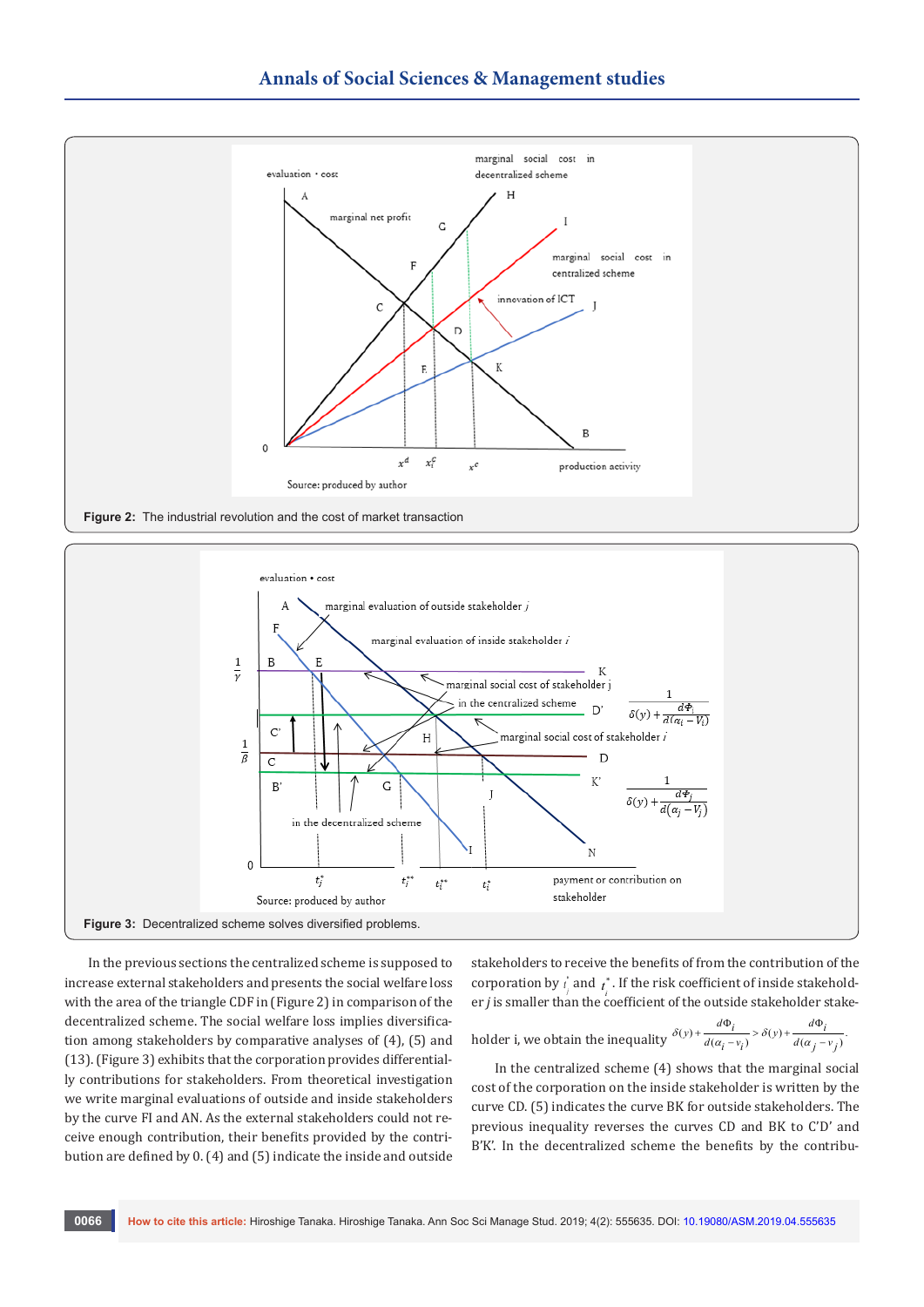



In the previous sections the centralized scheme is supposed to increase external stakeholders and presents the social welfare loss with the area of the triangle CDF in (Figure 2) in comparison of the decentralized scheme. The social welfare loss implies diversification among stakeholders by comparative analyses of (4), (5) and (13). (Figure 3) exhibits that the corporation provides differentially contributions for stakeholders. From theoretical investigation we write marginal evaluations of outside and inside stakeholders by the curve FI and AN. As the external stakeholders could not receive enough contribution, their benefits provided by the contribution are defined by 0. (4) and (5) indicate the inside and outside stakeholders to receive the benefits of from the contribution of the corporation by  $\vec{t}$  and  $\vec{t}$ . If the risk coefficient of inside stakeholder *j* is smaller than the coefficient of the outside stakeholder stake-

holder i, we obtain the inequality 
$$
\frac{\delta(y) + \frac{d\Phi_i}{d(a_i - v_i)} > \delta(y) + \frac{d\Phi_i}{d(a_j - v_j)}
$$
.

In the centralized scheme (4) shows that the marginal social cost of the corporation on the inside stakeholder is written by the curve CD. (5) indicates the curve BK for outside stakeholders. The previous inequality reverses the curves CD and BK to C'D' and B'K'. In the decentralized scheme the benefits by the contribu-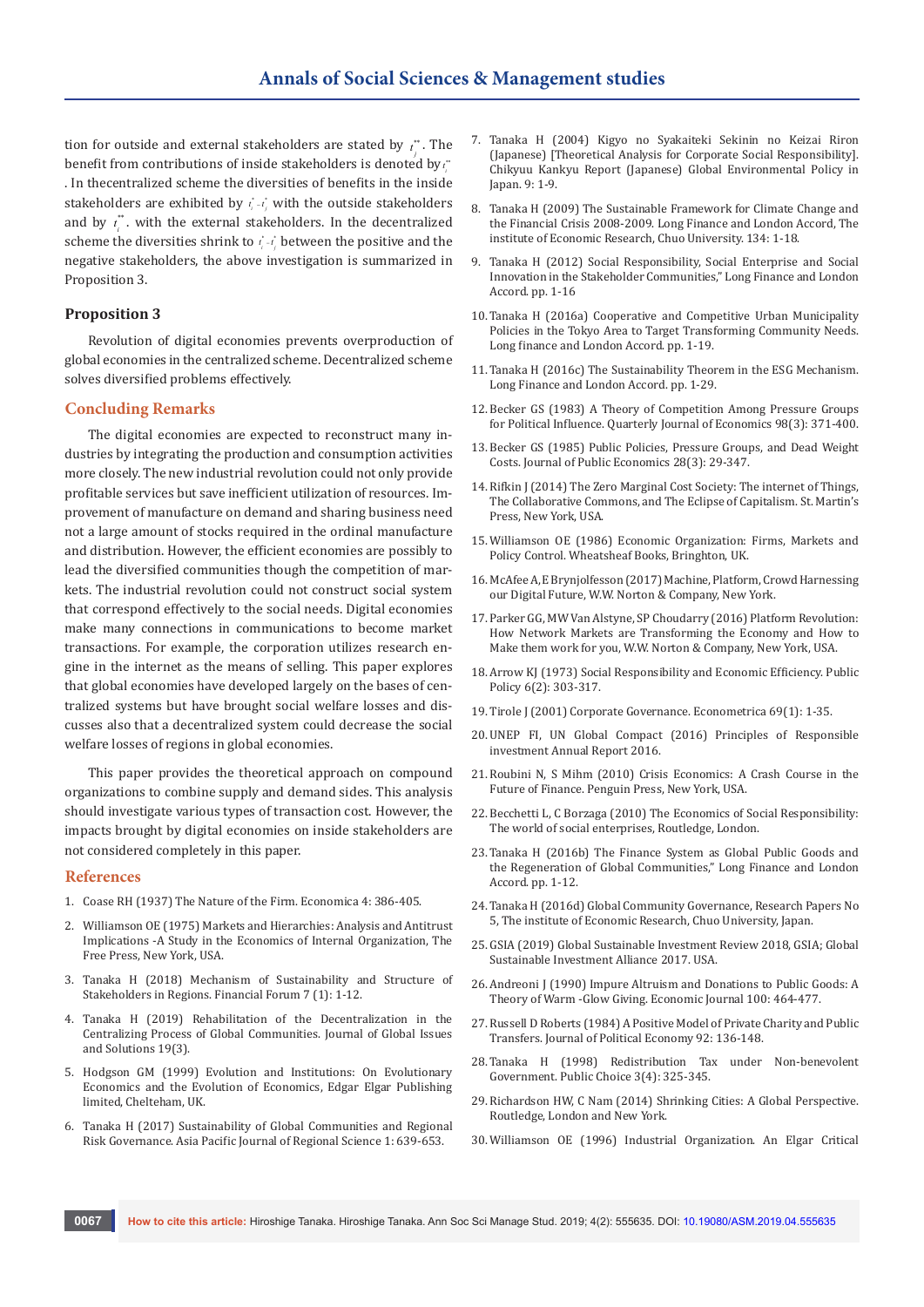tion for outside and external stakeholders are stated by  $\iota_i^*$  . The benefit from contributions of inside stakeholders is denoted by  $\iota_i^*$ . In thecentralized scheme the diversities of benefits in the inside stakeholders are exhibited by  $\vec{r}_i$  - $\vec{r}_j$  with the outside stakeholders and by  $t_i^*$ . with the external stakeholders. In the decentralized scheme the diversities shrink to  $\vec{r}_i - \vec{r}_j$  between the positive and the negative stakeholders, the above investigation is summarized in Proposition 3.

## **Proposition 3**

Revolution of digital economies prevents overproduction of global economies in the centralized scheme. Decentralized scheme solves diversified problems effectively.

## **Concluding Remarks**

The digital economies are expected to reconstruct many industries by integrating the production and consumption activities more closely. The new industrial revolution could not only provide profitable services but save inefficient utilization of resources. Improvement of manufacture on demand and sharing business need not a large amount of stocks required in the ordinal manufacture and distribution. However, the efficient economies are possibly to lead the diversified communities though the competition of markets. The industrial revolution could not construct social system that correspond effectively to the social needs. Digital economies make many connections in communications to become market transactions. For example, the corporation utilizes research engine in the internet as the means of selling. This paper explores that global economies have developed largely on the bases of centralized systems but have brought social welfare losses and discusses also that a decentralized system could decrease the social welfare losses of regions in global economies.

This paper provides the theoretical approach on compound organizations to combine supply and demand sides. This analysis should investigate various types of transaction cost. However, the impacts brought by digital economies on inside stakeholders are not considered completely in this paper.

#### **References**

- 1. [Coase RH \(1937\) The Nature of the Firm. Economica 4: 386-405.](https://onlinelibrary.wiley.com/doi/full/10.1111/j.1468-0335.1937.tb00002.x)
- 2. Williamson OE (1975) Markets and Hierarchies: Analysis and Antitrust Implications -A Study in the Economics of Internal Organization, The Free Press, New York, USA.
- 3. Tanaka H (2018) Mechanism of Sustainability and Structure of Stakeholders in Regions. Financial Forum 7 (1): 1-12.
- 4. [Tanaka H \(2019\) Rehabilitation of the Decentralization in the](http://www.bwwsociety.org/journal/current/2019/may-june/rehabilitation-of-the-decentralization-in-the-centralizing-process-of-global-communities.htm)  [Centralizing Process of Global Communities. Journal of Global Issues](http://www.bwwsociety.org/journal/current/2019/may-june/rehabilitation-of-the-decentralization-in-the-centralizing-process-of-global-communities.htm)  [and Solutions 19\(3\).](http://www.bwwsociety.org/journal/current/2019/may-june/rehabilitation-of-the-decentralization-in-the-centralizing-process-of-global-communities.htm)
- 5. Hodgson GM (1999) Evolution and Institutions: On Evolutionary Economics and the Evolution of Economics, Edgar Elgar Publishing limited, Chelteham, UK.
- 6. [Tanaka H \(2017\) Sustainability of Global Communities and Regional](https://ideas.repec.org/a/spr/apjors/v1y2017i2d10.1007_s41685-017-0057-x.html)  [Risk Governance. Asia Pacific Journal of Regional Science 1: 639-653.](https://ideas.repec.org/a/spr/apjors/v1y2017i2d10.1007_s41685-017-0057-x.html)
- 7. Tanaka H (2004) Kigyo no Syakaiteki Sekinin no Keizai Riron (Japanese) [Theoretical Analysis for Corporate Social Responsibility]. Chikyuu Kankyu Report (Japanese) Global Environmental Policy in Japan. 9: 1-9.
- 8. [Tanaka H \(2009\) The Sustainable Framework for Climate Change and](https://www.longfinance.net/programmes/sustainable-futures/london-accord/)  [the Financial Crisis 2008-2009. Long Finance and London Accord, The](https://www.longfinance.net/programmes/sustainable-futures/london-accord/)  [institute of Economic Research, Chuo University. 134: 1-18.](https://www.longfinance.net/programmes/sustainable-futures/london-accord/)
- 9. Tanaka H (2012) Social Responsibility, Social Enterprise and Social Innovation in the Stakeholder Communities," Long Finance and London Accord. pp. 1-16
- 10. [Tanaka H \(2016a\) Cooperative and Competitive Urban Municipality](https://www.longfinance.net/media/documents/chuo_urbanmunicipalitypoliciesTokyoArea_2014.pdf)  [Policies in the Tokyo Area to Target Transforming Community Needs.](https://www.longfinance.net/media/documents/chuo_urbanmunicipalitypoliciesTokyoArea_2014.pdf)  [Long finance and London Accord. pp. 1-19.](https://www.longfinance.net/media/documents/chuo_urbanmunicipalitypoliciesTokyoArea_2014.pdf)
- 11. [Tanaka H \(2016c\) The Sustainability Theorem in the ESG Mechanism.](https://www.longfinance.net/programmes/sustainable-futures/london-accord/reports/the-sustainability-theorem-in-the-esg-mechanism/)  [Long Finance and London Accord. pp. 1-29.](https://www.longfinance.net/programmes/sustainable-futures/london-accord/reports/the-sustainability-theorem-in-the-esg-mechanism/)
- 12. [Becker GS \(1983\) A Theory of Competition Among Pressure Groups](https://www.jstor.org/stable/1886017)  [for Political Influence. Quarterly Journal of Economics 98\(3\): 371-400.](https://www.jstor.org/stable/1886017)
- 13. [Becker GS \(1985\) Public Policies, Pressure Groups, and Dead Weight](https://www.sciencedirect.com/science/article/abs/pii/0047272785900635)  [Costs. Journal of Public Economics 28\(3\): 29-347.](https://www.sciencedirect.com/science/article/abs/pii/0047272785900635)
- 14. Rifkin J (2014) The Zero Marginal Cost Society: The internet of Things, The Collaborative Commons, and The Eclipse of Capitalism. St. Martin's Press, New York, USA.
- 15. Williamson OE (1986) Economic Organization: Firms, Markets and Policy Control. Wheatsheaf Books, Bringhton, UK.
- 16. McAfee A, E Brynjolfesson (2017) Machine, Platform, Crowd Harnessing our Digital Future, W.W. Norton & Company, New York.
- 17. Parker GG, MW Van Alstyne, SP Choudarry (2016) Platform Revolution: How Network Markets are Transforming the Economy and How to Make them work for you, W.W. Norton & Company, New York, USA.
- 18. [Arrow KJ \(1973\) Social Responsibility and Economic Efficiency. Public](https://www.scirp.org/(S(czeh2tfqyw2orz553k1w0r45))/reference/ReferencesPapers.aspx?ReferenceID=1751712)  [Policy 6\(2\): 303-317.](https://www.scirp.org/(S(czeh2tfqyw2orz553k1w0r45))/reference/ReferencesPapers.aspx?ReferenceID=1751712)
- 19. [Tirole J \(2001\) Corporate Governance. Econometrica 69\(1\): 1-35.](http://ecoapli1.udc.es/maixe-altes/banca/tema2/Tema%20cajas/Tirole,J.(2001).pdf)
- 20. UNEP FI, UN Global Compact (2016) Principles of Responsible investment Annual Report 2016.
- 21. Roubini N, S Mihm (2010) Crisis Economics: A Crash Course in the Future of Finance. Penguin Press, New York, USA.
- 22. Becchetti L, C Borzaga (2010) The Economics of Social Responsibility: The world of social enterprises, Routledge, London.
- 23. Tanaka H (2016b) The Finance System as Global Public Goods and the Regeneration of Global Communities," Long Finance and London Accord. pp. 1-12.
- 24. Tanaka H (2016d) Global Community Governance, Research Papers No 5, The institute of Economic Research, Chuo University, Japan.
- 25. [GSIA \(2019\) Global Sustainable Investment Review 2018, GSIA; Global](http://www.gsi-alliance.org/wp-content/uploads/2019/03/GSIR_Review2018.3.28.pdf)  [Sustainable Investment Alliance 2017. USA.](http://www.gsi-alliance.org/wp-content/uploads/2019/03/GSIR_Review2018.3.28.pdf)
- 26. Andreoni J (1990) Impure Altruism and Donations to Public Goods: A Theory of Warm -Glow Giving. Economic Journal 100: 464-477.
- 27. [Russell D Roberts \(1984\) A Positive Model of Private Charity and Public](https://www.journals.uchicago.edu/doi/pdfplus/10.1086/261212)  [Transfers. Journal of Political Economy 92: 136-148.](https://www.journals.uchicago.edu/doi/pdfplus/10.1086/261212)
- 28. [Tanaka H \(1998\) Redistribution Tax under Non-benevolent](https://link.springer.com/article/10.1023/A:1004924631650)  [Government. Public Choice 3\(4\): 325-345.](https://link.springer.com/article/10.1023/A:1004924631650)
- 29. Richardson HW, C Nam (2014) Shrinking Cities: A Global Perspective. Routledge, London and New York.
- 30. Williamson OE (1996) Industrial Organization. An Elgar Critical